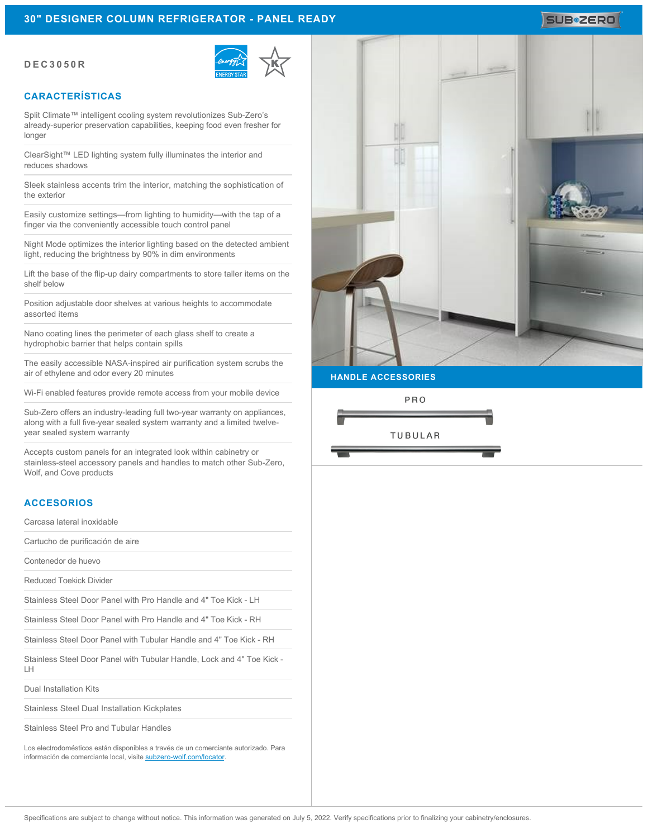### **DEC3050R**



### **CARACTERÍSTICAS**

Split Climate™ intelligent cooling system revolutionizes Sub-Zero's already-superior preservation capabilities, keeping food even fresher for longer

ClearSight™ LED lighting system fully illuminates the interior and reduces shadows

Sleek stainless accents trim the interior, matching the sophistication of the exterior

Easily customize settings—from lighting to humidity—with the tap of a finger via the conveniently accessible touch control panel

Night Mode optimizes the interior lighting based on the detected ambient light, reducing the brightness by 90% in dim environments

Lift the base of the flip-up dairy compartments to store taller items on the shelf below

Position adjustable door shelves at various heights to accommodate assorted items

Nano coating lines the perimeter of each glass shelf to create a hydrophobic barrier that helps contain spills

The easily accessible NASA-inspired air purification system scrubs the air of ethylene and odor every 20 minutes

Wi-Fi enabled features provide remote access from your mobile device

Sub-Zero offers an industry-leading full two-year warranty on appliances, along with a full five-year sealed system warranty and a limited twelveyear sealed system warranty

Accepts custom panels for an integrated look within cabinetry or stainless-steel accessory panels and handles to match other Sub-Zero, Wolf, and Cove products

#### **ACCESORIOS**

Carcasa lateral inoxidable

Cartucho de purificación de aire

Contenedor de huevo

Reduced Toekick Divider

Stainless Steel Door Panel with Pro Handle and 4" Toe Kick - LH

Stainless Steel Door Panel with Pro Handle and 4" Toe Kick - RH

Stainless Steel Door Panel with Tubular Handle and 4" Toe Kick - RH

Stainless Steel Door Panel with Tubular Handle, Lock and 4" Toe Kick - LH

Dual Installation Kits

Stainless Steel Dual Installation Kickplates

Stainless Steel Pro and Tubular Handles

Los electrodomésticos están disponibles a través de un comerciante autorizado. Para información de comerciante local, visite [subzero-wolf.com/locator](http://www.subzero-wolf.com/locator).



**HANDLE ACCESSORIES**

PRO



# **SUB#ZERO**